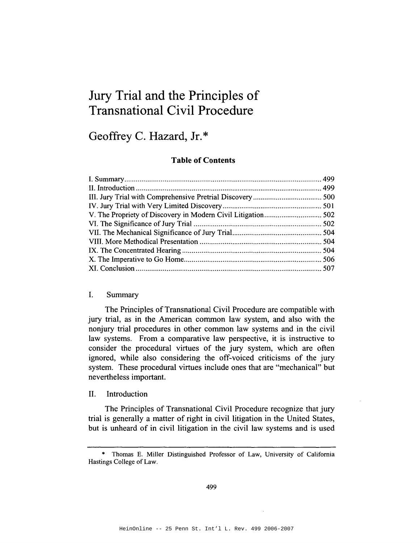# Jury Trial and the Principles of Transnational Civil Procedure

## Geoffrey C. Hazard, Jr.\*

## Table of Contents

#### I. Summary

The Principles of Transnational Civil Procedure are compatible with jury trial, as in the American common law system, and also with the nonjury trial procedures in other common law systems and in the civil law systems. From a comparative law perspective, it is instructive to consider the procedural virtues of the jury system, which are often ignored, while also considering the off-voiced criticisms of the jury system. These procedural virtues include ones that are "mechanical" but nevertheless important.

#### II. Introduction

The Principles of Transnational Civil Procedure recognize that jury trial is generally a matter of right in civil litigation in the United States, but is unheard of in civil litigation in the civil law systems and is used

<sup>\*</sup> Thomas E. Miller Distinguished Professor of Law, University of California Hastings College of Law.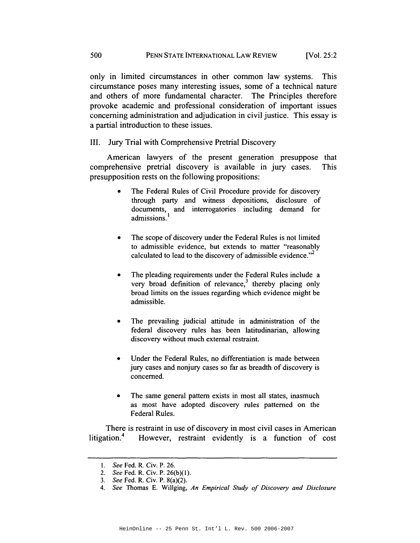only in limited circumstances in other common law systems. This circumstance poses many interesting issues, some of a technical nature and others of more fundamental character. The Principles therefore provoke academic and professional consideration of important issues concerning administration and adjudication in civil justice. This essay is a partial introduction to these issues.

#### Jury Trial with Comprehensive Pretrial Discovery III.

American lawyers of the present generation presuppose that comprehensive pretrial discovery is available in jury cases. **This** presupposition rests on the following propositions:

- The Federal Rules of Civil Procedure provide for discovery through party and witness depositions, disclosure of documents, and interrogatories including demand for admissions.
- The scope of discovery under the Federal Rules is not limited to admissible evidence, but extends to matter "reasonably calculated to lead to the discovery of admissible evidence."
- The pleading requirements under the Federal Rules include a very broad definition of relevance,<sup>3</sup> thereby placing only broad limits on the issues regarding which evidence might be admissible.
- The prevailing judicial attitude in administration of the federal discovery rules has been latitudinarian, allowing discovery without much external restraint.
- Under the Federal Rules, no differentiation is made between jury cases and nonjury cases so far as breadth of discovery is concerned.
- The same general pattern exists in most all states, inasmuch as most have adopted discovery rules patterned on the Federal Rules.

There is restraint in use of discovery in most civil cases in American litigation.<sup>4</sup> However, restraint evidently is a function of cost

<sup>1.</sup> See Fed. R. Civ. P. 26.

<sup>2.</sup> See Fed. R. Civ. P. 26(b)(1).

<sup>3.</sup> See Fed. R. Civ. P. 8(a)(2).

<sup>4.</sup> See Thomas E. Willging, An Empirical Study of Discovery and Disclosure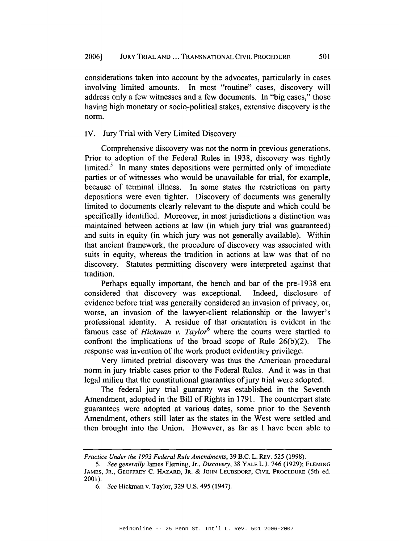considerations taken into account by the advocates, particularly in cases involving limited amounts. In most "routine" cases, discovery will address only a few witnesses and a few documents. In "big cases," those having high monetary or socio-political stakes, extensive discovery is the norm.

#### IV. Jury Trial with Very Limited Discovery

Comprehensive discovery was not the norm in previous generations. Prior to adoption of the Federal Rules in 1938, discovery was tightly limited.<sup>5</sup> In many states depositions were permitted only of immediate parties or of witnesses who would be unavailable for trial, for example, because of terminal illness. In some states the restrictions on party depositions were even tighter. Discovery of documents was generally limited to documents clearly relevant to the dispute and which could be specifically identified. Moreover, in most jurisdictions a distinction was maintained between actions at law (in which jury trial was guaranteed) and suits in equity (in which jury was not generally available). Within that ancient framework, the procedure of discovery was associated with suits in equity, whereas the tradition in actions at law was that of no discovery. Statutes permitting discovery were interpreted against that tradition.

Perhaps equally important, the bench and bar of the pre-1938 era considered that discovery was exceptional. Indeed, disclosure of evidence before trial was generally considered an invasion of privacy, or, worse, an invasion of the lawyer-client relationship or the lawyer's professional identity. A residue of that orientation is evident in the famous case of *Hickman v. Taylor*<sup>6</sup> where the courts were startled to confront the implications of the broad scope of Rule  $26(b)(2)$ . The response was invention of the work product evidentiary privilege.

Very limited pretrial discovery was thus the American procedural norm in jury triable cases prior to the Federal Rules. And it was in that legal milieu that the constitutional guaranties of jury trial were adopted.

The federal jury trial guaranty was established in the Seventh Amendment, adopted in the Bill of Rights in 1791. The counterpart state guarantees were adopted at various dates, some prior to the Seventh Amendment, others still later as the states in the West were settled and then brought into the Union. However, as far as I have been able to

Practice Under the 1993 Federal Rule Amendments, 39 B.C. L. REV. 525 (1998).

<sup>5.</sup> See generally James Fleming, Jr., Discovery, 38 YALE L.J. 746 (1929); FLEMING JAMES, JR., GEOFFREY C. HAZARD, JR. & JOHN LEUBSDORF, CIVIL PROCEDURE (5th ed. 2001).

<sup>6.</sup> See Hickman v. Taylor, 329 U.S. 495 (1947).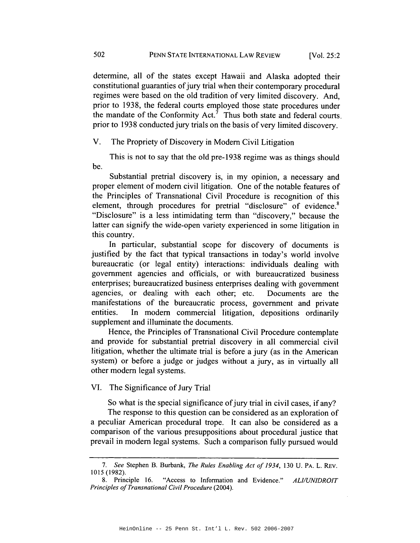determine, all of the states except Hawaii and Alaska adopted their constitutional guaranties of jury trial when their contemporary procedural regimes were based on the old tradition of very limited discovery. And, prior to 1938, the federal courts employed those state procedures under the mandate of the Conformity Act.<sup> $7$ </sup> Thus both state and federal courts. prior to 1938 conducted jury trials on the basis of very limited discovery.

 $V_{\cdot}$ The Propriety of Discovery in Modern Civil Litigation

This is not to say that the old pre-1938 regime was as things should be.

Substantial pretrial discovery is, in my opinion, a necessary and proper element of modern civil litigation. One of the notable features of the Principles of Transnational Civil Procedure is recognition of this element, through procedures for pretrial "disclosure" of evidence.<sup>8</sup> "Disclosure" is a less intimidating term than "discovery," because the latter can signify the wide-open variety experienced in some litigation in this country.

In particular, substantial scope for discovery of documents is justified by the fact that typical transactions in today's world involve bureaucratic (or legal entity) interactions: individuals dealing with government agencies and officials, or with bureaucratized business enterprises; bureaucratized business enterprises dealing with government agencies, or dealing with each other; etc. Documents are the manifestations of the bureaucratic process, government and private In modern commercial litigation, depositions ordinarily entities. supplement and illuminate the documents.

Hence, the Principles of Transnational Civil Procedure contemplate and provide for substantial pretrial discovery in all commercial civil litigation, whether the ultimate trial is before a jury (as in the American system) or before a judge or judges without a jury, as in virtually all other modern legal systems.

#### VI. The Significance of Jury Trial

So what is the special significance of jury trial in civil cases, if any?

The response to this question can be considered as an exploration of a peculiar American procedural trope. It can also be considered as a comparison of the various presuppositions about procedural justice that prevail in modern legal systems. Such a comparison fully pursued would

<sup>7.</sup> See Stephen B. Burbank, The Rules Enabling Act of 1934, 130 U. PA. L. REV. 1015 (1982).

<sup>&</sup>quot;Access to Information and Evidence." 8. Principle 16. **ALI/UNIDROIT** Principles of Transnational Civil Procedure (2004).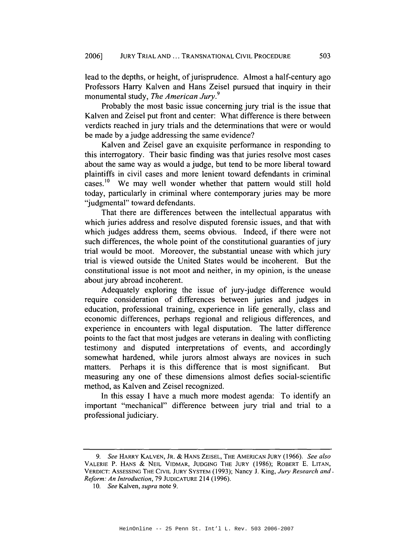lead to the depths, or height, of jurisprudence. Almost a half-century ago Professors Harry Kalven and Hans Zeisel pursued that inquiry in their monumental study, The American Jury.<sup>9</sup>

Probably the most basic issue concerning jury trial is the issue that Kalven and Zeisel put front and center: What difference is there between verdicts reached in jury trials and the determinations that were or would be made by a judge addressing the same evidence?

Kalven and Zeisel gave an exquisite performance in responding to this interrogatory. Their basic finding was that juries resolve most cases about the same way as would a judge, but tend to be more liberal toward plaintiffs in civil cases and more lenient toward defendants in criminal cases.<sup>10</sup> We may well wonder whether that pattern would still hold today, particularly in criminal where contemporary juries may be more "judgmental" toward defendants.

That there are differences between the intellectual apparatus with which juries address and resolve disputed forensic issues, and that with which judges address them, seems obvious. Indeed, if there were not such differences, the whole point of the constitutional guaranties of jury trial would be moot. Moreover, the substantial unease with which jury trial is viewed outside the United States would be incoherent. But the constitutional issue is not moot and neither, in my opinion, is the unease about jury abroad incoherent.

Adequately exploring the issue of jury-judge difference would require consideration of differences between juries and judges in education, professional training, experience in life generally, class and economic differences, perhaps regional and religious differences, and experience in encounters with legal disputation. The latter difference points to the fact that most judges are veterans in dealing with conflicting testimony and disputed interpretations of events, and accordingly somewhat hardened, while jurors almost always are novices in such matters. Perhaps it is this difference that is most significant. **But** measuring any one of these dimensions almost defies social-scientific method, as Kalven and Zeisel recognized.

In this essay I have a much more modest agenda: To identify an important "mechanical" difference between jury trial and trial to a professional judiciary.

<sup>9.</sup> See HARRY KALVEN, JR. & HANS ZEISEL, THE AMERICAN JURY (1966). See also VALERIE P. HANS & NEIL VIDMAR, JUDGING THE JURY (1986); ROBERT E. LITAN, VERDICT: ASSESSING THE CIVIL JURY SYSTEM (1993); Nancy J. King, Jury Research and . Reform: An Introduction, 79 JUDICATURE 214 (1996).

<sup>10.</sup> See Kalven, supra note 9.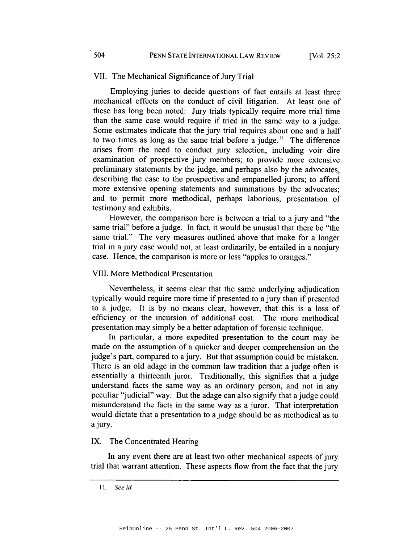#### VII. The Mechanical Significance of Jury Trial

Employing juries to decide questions of fact entails at least three mechanical effects on the conduct of civil litigation. At least one of these has long been noted: Jury trials typically require more trial time than the same case would require if tried in the same way to a judge. Some estimates indicate that the jury trial requires about one and a half to two times as long as the same trial before a judge.<sup>11</sup> The difference arises from the need to conduct jury selection, including voir dire examination of prospective jury members; to provide more extensive preliminary statements by the judge, and perhaps also by the advocates, describing the case to the prospective and empanelled jurors; to afford more extensive opening statements and summations by the advocates; and to permit more methodical, perhaps laborious, presentation of testimony and exhibits.

However, the comparison here is between a trial to a jury and "the same trial" before a judge. In fact, it would be unusual that there be "the same trial." The very measures outlined above that make for a longer trial in a jury case would not, at least ordinarily, be entailed in a nonjury case. Hence, the comparison is more or less "apples to oranges."

#### **VIII. More Methodical Presentation**

Nevertheless, it seems clear that the same underlying adjudication typically would require more time if presented to a jury than if presented to a judge. It is by no means clear, however, that this is a loss of efficiency or the incursion of additional cost. The more methodical presentation may simply be a better adaptation of forensic technique.

In particular, a more expedited presentation to the court may be made on the assumption of a quicker and deeper comprehension on the judge's part, compared to a jury. But that assumption could be mistaken. There is an old adage in the common law tradition that a judge often is essentially a thirteenth juror. Traditionally, this signifies that a judge understand facts the same way as an ordinary person, and not in any peculiar "judicial" way. But the adage can also signify that a judge could misunderstand the facts in the same way as a juror. That interpretation would dictate that a presentation to a judge should be as methodical as to a jury.

### IX. The Concentrated Hearing

In any event there are at least two other mechanical aspects of jury trial that warrant attention. These aspects flow from the fact that the jury

504

<sup>11.</sup> See id.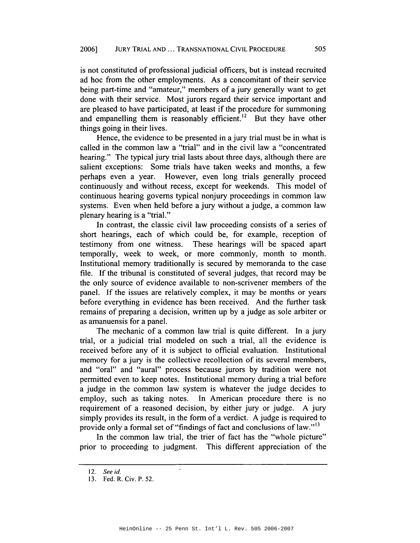is not constituted of professional judicial officers, but is instead recruited ad hoc from the other employments. As a concomitant of their service being part-time and "amateur," members of a jury generally want to get done with their service. Most jurors regard their service important and are pleased to have participated, at least if the procedure for summoning and empanelling them is reasonably efficient.<sup>12</sup> But they have other things going in their lives.

Hence, the evidence to be presented in a jury trial must be in what is called in the common law a "trial" and in the civil law a "concentrated hearing." The typical jury trial lasts about three days, although there are salient exceptions: Some trials have taken weeks and months, a few perhaps even a year. However, even long trials generally proceed continuously and without recess, except for weekends. This model of continuous hearing governs typical nonjury proceedings in common law systems. Even when held before a jury without a judge, a common law plenary hearing is a "trial."

In contrast, the classic civil law proceeding consists of a series of short hearings, each of which could be, for example, reception of testimony from one witness. These hearings will be spaced apart temporally, week to week, or more commonly, month to month. Institutional memory traditionally is secured by memoranda to the case file. If the tribunal is constituted of several judges, that record may be the only source of evidence available to non-scrivener members of the panel. If the issues are relatively complex, it may be months or years before everything in evidence has been received. And the further task remains of preparing a decision, written up by a judge as sole arbiter or as amanuensis for a panel.

The mechanic of a common law trial is quite different. In a jury trial, or a judicial trial modeled on such a trial, all the evidence is received before any of it is subject to official evaluation. Institutional memory for a jury is the collective recollection of its several members, and "oral" and "aural" process because jurors by tradition were not permitted even to keep notes. Institutional memory during a trial before a judge in the common law system is whatever the judge decides to employ, such as taking notes. In American procedure there is no requirement of a reasoned decision, by either jury or judge. A jury simply provides its result, in the form of a verdict. A judge is required to provide only a formal set of "findings of fact and conclusions of law."<sup>13</sup>

In the common law trial, the trier of fact has the "whole picture" prior to proceeding to judgment. This different appreciation of the

<sup>12.</sup> See id.

<sup>13.</sup> Fed. R. Civ. P. 52.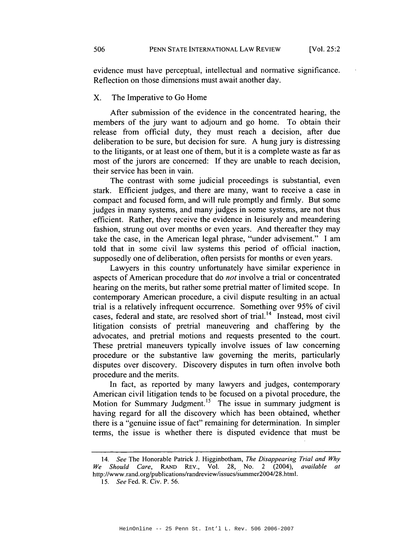evidence must have perceptual, intellectual and normative significance. Reflection on those dimensions must await another day.

#### X. The Imperative to Go Home

After submission of the evidence in the concentrated hearing, the members of the jury want to adjourn and go home. To obtain their release from official duty, they must reach a decision, after due deliberation to be sure, but decision for sure. A hung jury is distressing to the litigants, or at least one of them, but it is a complete waste as far as most of the jurors are concerned: If they are unable to reach decision, their service has been in vain.

The contrast with some judicial proceedings is substantial, even stark. Efficient judges, and there are many, want to receive a case in compact and focused form, and will rule promptly and firmly. But some judges in many systems, and many judges in some systems, are not thus efficient. Rather, they receive the evidence in leisurely and meandering fashion, strung out over months or even years. And thereafter they may take the case, in the American legal phrase, "under advisement." I am told that in some civil law systems this period of official inaction, supposedly one of deliberation, often persists for months or even years.

Lawyers in this country unfortunately have similar experience in aspects of American procedure that do *not* involve a trial or concentrated hearing on the merits, but rather some pretrial matter of limited scope. In contemporary American procedure, a civil dispute resulting in an actual trial is a relatively infrequent occurrence. Something over 95% of civil cases, federal and state, are resolved short of trial.<sup>14</sup> Instead, most civil litigation consists of pretrial maneuvering and chaffering by the advocates, and pretrial motions and requests presented to the court. These pretrial maneuvers typically involve issues of law concerning procedure or the substantive law governing the merits, particularly disputes over discovery. Discovery disputes in turn often involve both procedure and the merits.

In fact, as reported by many lawyers and judges, contemporary American civil litigation tends to be focused on a pivotal procedure, the Motion for Summary Judgment.<sup>15</sup> The issue in summary judgment is having regard for all the discovery which has been obtained, whether there is a "genuine issue of fact" remaining for determination. In simpler terms, the issue is whether there is disputed evidence that must be

<sup>14.</sup> See The Honorable Patrick J. Higginbotham, The Disappearing Trial and Why We Should Care, RAND REV., Vol. 28, No. 2  $(2004)$ , available  $\alpha t$ http://www.rand.org/publications/randreview/issues/summer2004/28.html.

<sup>15.</sup> See Fed. R. Civ. P. 56.